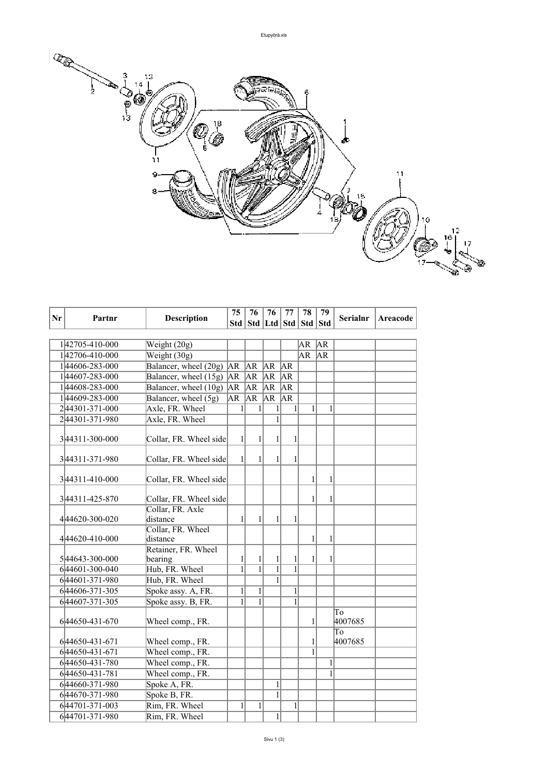

| Nr | Partnr          | <b>Description</b>               | 75<br>76<br>76<br>77<br>78 | 79           | <b>Serialnr</b>                   | Areacode     |              |    |               |  |
|----|-----------------|----------------------------------|----------------------------|--------------|-----------------------------------|--------------|--------------|----|---------------|--|
|    |                 |                                  |                            |              | Std   Std   Ltd   Std   Std   Std |              |              |    |               |  |
|    |                 |                                  |                            |              |                                   |              |              |    |               |  |
|    | 142705-410-000  | Weight (20g)                     |                            |              |                                   |              | AR           | AR |               |  |
|    | 142706-410-000  | Weight (30g)                     |                            |              |                                   |              | <b>AR</b>    | AR |               |  |
|    | 144606-283-000  | Balancer, wheel $(20g)$ AR AR AR |                            |              |                                   | AR           |              |    |               |  |
|    | 144607-283-000  | Balancer, wheel $(15g)$ $AR$     |                            | AR           | AR                                | AR           |              |    |               |  |
|    | 144608-283-000  | Balancer, wheel $(10g)$ AR AR AR |                            |              |                                   | AR           |              |    |               |  |
|    | 144609-283-000  | Balancer, wheel (5g)             | $\overline{\mathsf{AR}}$   | AR           | AR                                | AR           |              |    |               |  |
|    | 244301-371-000  | Axle, FR. Wheel                  | 1                          | $\mathbf{1}$ | $\mathbf{1}$                      | 1            | $\mathbf{1}$ | 1  |               |  |
|    | 244301-371-980  | Axle, FR. Wheel                  |                            |              | $\mathbf{1}$                      |              |              |    |               |  |
|    | 3 44311-300-000 | Collar, FR. Wheel side           | $\mathbf{1}$               | 1            | 1                                 | 1            |              |    |               |  |
|    |                 |                                  |                            |              |                                   |              |              |    |               |  |
|    | 344311-371-980  | Collar, FR. Wheel side           | $\frac{1}{2}$              | $\mathbf{1}$ | $\mathbf{1}$                      | 1            |              |    |               |  |
|    | 344311-410-000  | Collar, FR. Wheel side           |                            |              |                                   |              | 1            | 1  |               |  |
|    | 344311-425-870  | Collar, FR. Wheel side           |                            |              |                                   |              | 1            | 1  |               |  |
|    | 444620-300-020  | Collar, FR. Axle<br>distance     | $\mathbf{1}$               | 1            | 1                                 | 1            |              |    |               |  |
|    | 444620-410-000  | Collar, FR. Wheel<br>distance    |                            |              |                                   |              | $\mathbf{1}$ | 1  |               |  |
|    |                 | Retainer, FR. Wheel              |                            |              |                                   |              |              |    |               |  |
|    | 544643-300-000  | bearing                          | $\mathbf{1}$               | 1            | 1                                 | 1            | 1            | 1  |               |  |
|    | 644601-300-040  | Hub, FR. Wheel                   | $\overline{1}$             | $\mathbf{1}$ | $\overline{1}$                    | 1            |              |    |               |  |
|    | 644601-371-980  | Hub, FR. Wheel                   |                            |              | $\mathbf{1}$                      |              |              |    |               |  |
|    | 644606-371-305  | Spoke assy. A, FR.               | $\mathbf{1}$               | 1            |                                   | $\mathbf{1}$ |              |    |               |  |
|    | 644607-371-305  | Spoke assy. B, FR.               | $\mathbf{1}$               | $\mathbf{1}$ |                                   | 1            |              |    |               |  |
|    | 644650-431-670  | Wheel comp., FR.                 |                            |              |                                   |              | 1            |    | To<br>4007685 |  |
|    |                 |                                  |                            |              |                                   |              |              |    | To            |  |
|    | 644650-431-671  | Wheel comp., FR.                 |                            |              |                                   |              | 1            |    | 4007685       |  |
|    | 644650-431-671  | Wheel comp., FR.                 |                            |              |                                   |              | 1            |    |               |  |
|    | 644650-431-780  | Wheel comp., FR.                 |                            |              |                                   |              |              | 1  |               |  |
|    | 644650-431-781  | Wheel comp., FR.                 |                            |              |                                   |              |              | 1  |               |  |
|    | 644660-371-980  | Spoke A, FR.                     |                            |              | $\mathbf{1}$                      |              |              |    |               |  |
|    | 644670-371-980  | Spoke B, FR.                     |                            |              | $\mathbf{1}$                      |              |              |    |               |  |
|    | 644701-371-003  | Rim, FR. Wheel                   | 1                          | $\mathbf{1}$ |                                   | 1            |              |    |               |  |
|    | 644701-371-980  | Rim, FR. Wheel                   |                            |              | $\mathbf{1}$                      |              |              |    |               |  |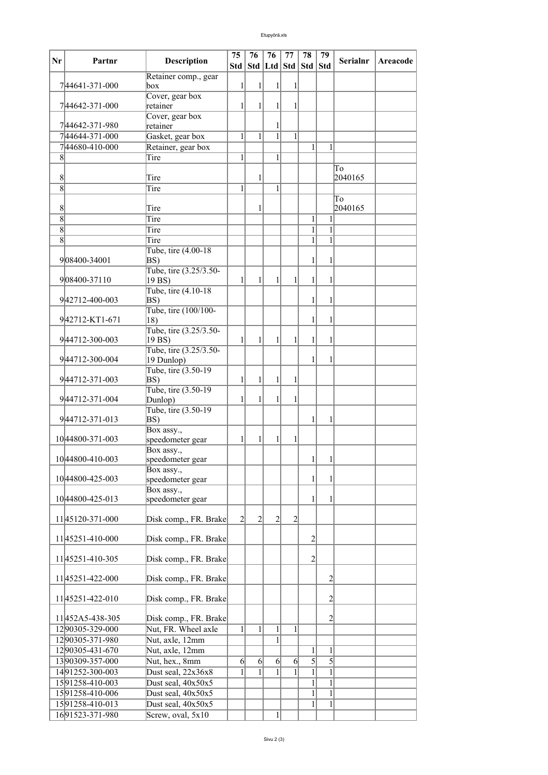| Nr     | Partnr               | <b>Description</b>             | 75             | 76                                | 76             | 77           | 78             | 79             | <b>Serialnr</b> | Areacode |
|--------|----------------------|--------------------------------|----------------|-----------------------------------|----------------|--------------|----------------|----------------|-----------------|----------|
|        |                      |                                |                | Std   Std   Ltd   Std   Std   Std |                |              |                |                |                 |          |
|        | 744641-371-000       | Retainer comp., gear<br>box    | 1              | 1                                 | 1              |              |                |                |                 |          |
|        |                      | Cover, gear box                |                |                                   |                |              |                |                |                 |          |
|        | 744642-371-000       | retainer                       | $\mathbf{1}$   | 1                                 | 1              | 1            |                |                |                 |          |
|        |                      | Cover, gear box                |                |                                   |                |              |                |                |                 |          |
|        | 744642-371-980       | retainer                       |                |                                   | 1              |              |                |                |                 |          |
|        | 744644-371-000       | Gasket, gear box               | 1              | $\mathbf{1}$                      | $\mathbf{1}$   | 1            |                |                |                 |          |
|        | 744680-410-000       | Retainer, gear box             |                |                                   |                |              | 1              | 1              |                 |          |
| 8      |                      | Tire                           | 1              |                                   | 1              |              |                |                |                 |          |
|        |                      |                                |                |                                   |                |              |                |                | To              |          |
| 8<br>8 |                      | Tire<br>Tire                   | $\mathbf{1}$   | 1                                 | 1              |              |                |                | 2040165         |          |
|        |                      |                                |                |                                   |                |              |                |                | To              |          |
| 8      |                      | Tire                           |                | 1                                 |                |              |                |                | 2040165         |          |
| 8      |                      | Tire                           |                |                                   |                |              | $\mathbf{1}$   |                |                 |          |
| 8      |                      | Tire                           |                |                                   |                |              | $\mathbf{1}$   | 1              |                 |          |
| 8      |                      | Tire                           |                |                                   |                |              | $\mathbf{1}$   | 1              |                 |          |
|        |                      | Tube, tire (4.00-18)           |                |                                   |                |              |                |                |                 |          |
|        | 908400-34001         | BS)                            |                |                                   |                |              | 1              | 1              |                 |          |
|        |                      | Tube, tire (3.25/3.50-         |                |                                   |                |              |                |                |                 |          |
|        | 908400-37110         | 19 BS)                         | 1              | 1                                 | 1              | 1            | 1              | 1              |                 |          |
|        | 942712-400-003       | Tube, tire (4.10-18)<br>BS)    |                |                                   |                |              | 1              | 1              |                 |          |
|        |                      | Tube, tire (100/100-           |                |                                   |                |              |                |                |                 |          |
|        | 942712-KT1-671       | $ 18\rangle$                   |                |                                   |                |              | 1              | 1              |                 |          |
|        |                      | Tube, tire (3.25/3.50-         |                |                                   |                |              |                |                |                 |          |
|        | 944712-300-003       | 19 BS)                         | $\mathbf{1}$   | $\mathbf{1}$                      | 1              | 1            | 1              | 1              |                 |          |
|        |                      | Tube, tire (3.25/3.50-         |                |                                   |                |              |                |                |                 |          |
|        | 944712-300-004       | 19 Dunlop)                     |                |                                   |                |              | 1              | 1              |                 |          |
|        |                      | Tube, tire (3.50-19)           |                |                                   |                |              |                |                |                 |          |
|        | 944712-371-003       | BS)<br>Tube, tire (3.50-19)    | 1              | 1                                 | 1              | 1            |                |                |                 |          |
|        | 944712-371-004       | Dunlop)                        | $\mathbf{1}$   | 1                                 | $\mathbf{1}$   |              |                |                |                 |          |
|        |                      | Tube, tire (3.50-19)           |                |                                   |                |              |                |                |                 |          |
|        | 944712-371-013       | BS)                            |                |                                   |                |              | 1              | 1              |                 |          |
|        |                      | Box assy.,                     |                |                                   |                |              |                |                |                 |          |
|        | 10 44800 - 371 - 003 | speedometer gear               | 1              | 1                                 | 1              | 1            |                |                |                 |          |
|        |                      | Box assy.,                     |                |                                   |                |              |                |                |                 |          |
|        | 10 44800-410-003     | speedometer gear               |                |                                   |                |              | $\mathbf{1}$   | 1              |                 |          |
|        | 10 44800 - 425 - 003 | Box assy.,<br>speedometer gear |                |                                   |                |              | 1              | 1              |                 |          |
|        |                      | Box assy.,                     |                |                                   |                |              |                |                |                 |          |
|        | 1044800-425-013      | speedometer gear               |                |                                   |                |              | 1              | $\mathbf{1}$   |                 |          |
|        |                      |                                |                |                                   |                |              |                |                |                 |          |
|        | 1145120-371-000      | Disk comp., FR. Brake          | $\overline{2}$ | $\overline{2}$                    | $\overline{2}$ | 2            |                |                |                 |          |
|        |                      |                                |                |                                   |                |              |                |                |                 |          |
|        | 11 45251-410-000     | Disk comp., FR. Brake          |                |                                   |                |              | $\overline{2}$ |                |                 |          |
|        | 1145251-410-305      | Disk comp., FR. Brake          |                |                                   |                |              | $\overline{2}$ |                |                 |          |
|        |                      |                                |                |                                   |                |              |                |                |                 |          |
|        | 1145251-422-000      | Disk comp., FR. Brake          |                |                                   |                |              |                | $\overline{c}$ |                 |          |
|        |                      |                                |                |                                   |                |              |                |                |                 |          |
|        | 11 45251-422-010     | Disk comp., FR. Brake          |                |                                   |                |              |                | $\overline{c}$ |                 |          |
|        |                      |                                |                |                                   |                |              |                |                |                 |          |
|        | 11452A5-438-305      | Disk comp., FR. Brake          |                |                                   |                |              |                | $\overline{2}$ |                 |          |
|        | 1290305-329-000      | Nut, FR. Wheel axle            | $\mathbf{1}$   | $\mathbf{1}$                      | $\mathbf{1}$   | $\mathbf{1}$ |                |                |                 |          |
|        | 1290305-371-980      | Nut, axle, 12mm                |                |                                   | $\mathbf{1}$   |              |                |                |                 |          |
|        | 1290305-431-670      | Nut, axle, 12mm                |                |                                   |                |              | 1              | 1              |                 |          |
|        | 1390309-357-000      | Nut, hex., 8mm                 | $\overline{6}$ | $6 \vert$                         | $6 \mid$       | $6 \mid$     | 5              | $\overline{5}$ |                 |          |
|        | 1491252-300-003      | Dust seal, 22x36x8             | 1              | $\mathbf{1}$                      | $\mathbf{1}$   | 1            | $\mathbf{1}$   | $\overline{1}$ |                 |          |
|        | 1591258-410-003      | Dust seal, 40x50x5             |                |                                   |                |              | $\mathbf{1}$   | $\mathbf{1}$   |                 |          |
|        | 1591258-410-006      | Dust seal, 40x50x5             |                |                                   |                |              | 1              | 1              |                 |          |
|        | 1591258-410-013      | Dust seal, 40x50x5             |                |                                   |                |              | 1              | 1              |                 |          |
|        | 1691523-371-980      | Screw, oval, 5x10              |                |                                   | 1              |              |                |                |                 |          |